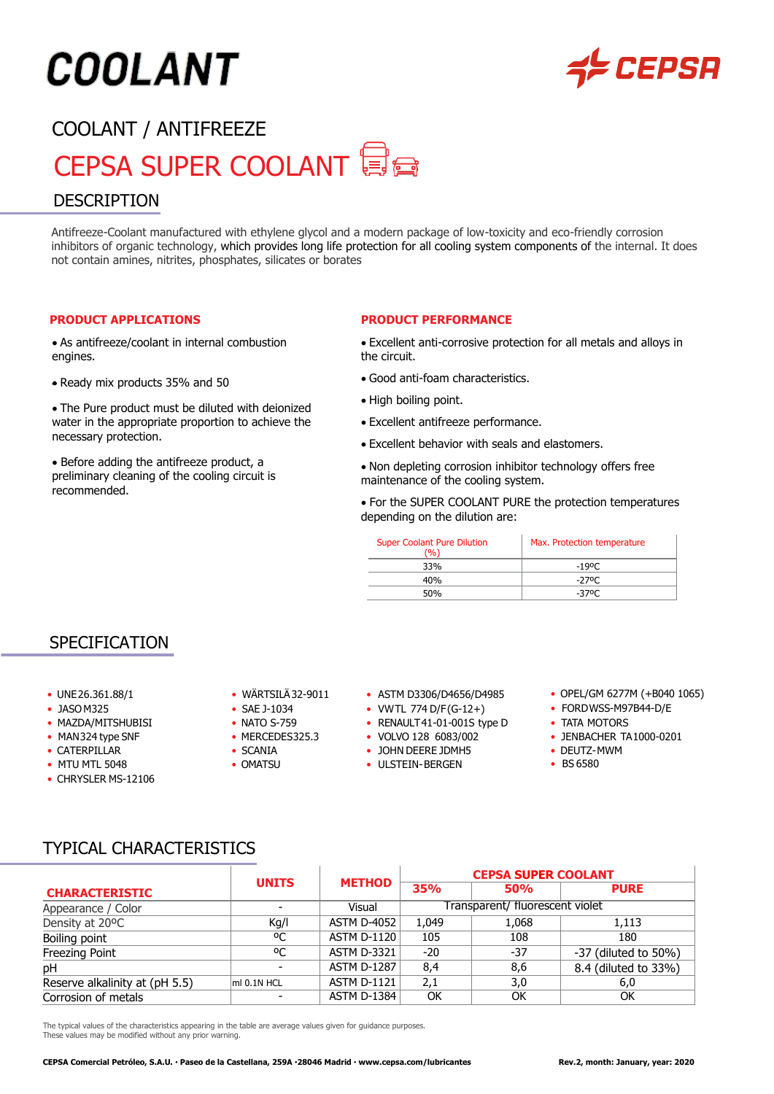# COOLANT

### **LEPSA**

### COOLANT / ANTIFREEZE CEPSA SUPER COOLANT DESCRIPTION

Antifreeze-Coolant manufactured with ethylene glycol and a modern package of low-toxicity and eco-friendly corrosion inhibitors of organic technology, which provides long life protection for all cooling system components of the internal. It does not contain amines, nitrites, phosphates, silicates or borates

#### **PRODUCT APPLICATIONS**

• As antifreeze/coolant in internal combustion engines.

• Ready mix products 35% and 50

• The Pure product must be diluted with deionized water in the appropriate proportion to achieve the necessary protection.

• Before adding the antifreeze product, a preliminary cleaning of the cooling circuit is recommended.

#### **PRODUCT PERFORMANCE**

• Excellent anti-corrosive protection for all metals and alloys in the circuit.

- Good anti-foam characteristics.
- High boiling point.
- Excellent antifreeze performance.
- Excellent behavior with seals and elastomers.

• Non depleting corrosion inhibitor technology offers free maintenance of the cooling system.

• For the SUPER COOLANT PURE the protection temperatures depending on the dilution are:

| <b>Super Coolant Pure Dilution</b><br>`%` | Max. Protection temperature |  |  |
|-------------------------------------------|-----------------------------|--|--|
| 33%                                       | -190C                       |  |  |
| 40%                                       | -270C                       |  |  |
| 50%                                       | -370C                       |  |  |

#### SPECIFICATION

- 
- 
- 
- 
- 
- 
- CHRYSLER MS-12106
- 
- 
- 
- 
- -
- UNE26.361.88/1 WÄRTSILÄ32-9011 ASTM D3306/D4656/D4985 OPEL/GM 6277M (+B040 1065)
- JASOM325 SAE J-1034 VWTL 774 D/F(G-12+) FORDWSS-M97B44-D/E
- MAZDA/MITSHUBISI NATO S-759 RENAULT41-01-001S type D TATA MOTORS
	-
- CATERPILLAR • SCANIA JOHN DEERE JDMH5 • DEUTZ-MWM
- MTU MTL 5048 OMATSU ULSTEIN-BERGEN BS 6580
- 
- 
- 
- MAN324 type SNF THERCEDES325.3 VOLVO 128 6083/002 JENBACHER TA 1000-0201
	-
	-

#### TYPICAL CHARACTERISTICS

| <b>CHARACTERISTIC</b>          | <b>UNITS</b>             | <b>METHOD</b>      | <b>CEPSA SUPER COOLANT</b>      |            |                            |
|--------------------------------|--------------------------|--------------------|---------------------------------|------------|----------------------------|
|                                |                          |                    | <b>35%</b>                      | <b>50%</b> | <b>PURE</b>                |
| Appearance / Color             | $\overline{\phantom{0}}$ | Visual             | Transparent/ fluorescent violet |            |                            |
| Density at 20°C                | Kg/I                     | <b>ASTM D-4052</b> | 1.049                           | 1,068      | 1,113                      |
| Boiling point                  | ٥C                       | <b>ASTM D-1120</b> | 105                             | 108        | 180                        |
| Freezing Point                 | ٥C                       | <b>ASTM D-3321</b> | $-20$                           | $-37$      | $-37$ (diluted to $50\%$ ) |
| pH                             |                          | <b>ASTM D-1287</b> | 8,4                             | 8,6        | 8.4 (diluted to 33%)       |
| Reserve alkalinity at (pH 5.5) | ml 0.1N HCL              | <b>ASTM D-1121</b> | 2,1                             | 3,0        | 6,0                        |
| Corrosion of metals            |                          | <b>ASTM D-1384</b> | OK                              | OK         | OK                         |

The typical values of the characteristics appearing in the table are average values given for guidance purposes. These values may be modified without any prior warning.